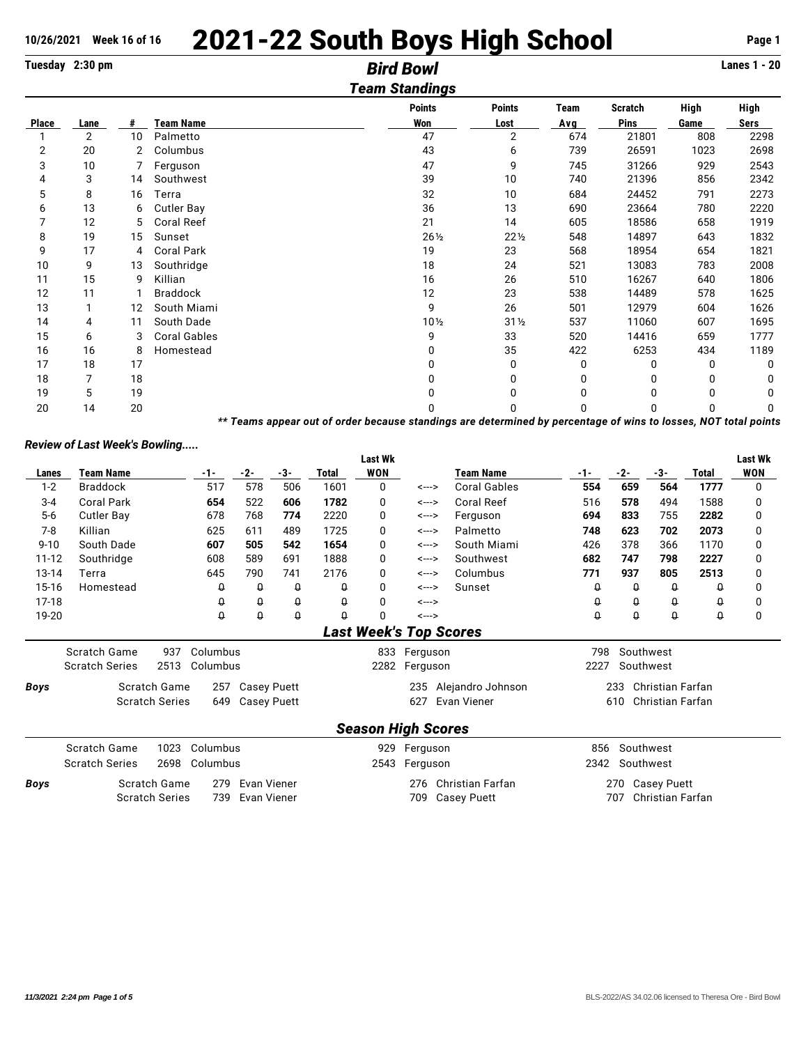## 10/26/2021 Week 16 of 16 2021-22 South Boys High School Page 1

**Tuesday 2:30 pm** *Bird Bowl* **Lanes 1 - 20**

|       |                |                |                     | <b>Team Standings</b> |                 |          |                |      |          |
|-------|----------------|----------------|---------------------|-----------------------|-----------------|----------|----------------|------|----------|
|       |                |                |                     | <b>Points</b>         | <b>Points</b>   | Team     | <b>Scratch</b> | High | High     |
| Place | Lane           | #              | <b>Team Name</b>    | Won                   | Lost            | Avg      | <b>Pins</b>    | Game | Sers     |
|       | $\overline{2}$ | 10             | Palmetto            | 47                    | $\overline{2}$  | 674      | 21801          | 808  | 2298     |
| 2     | 20             | $\overline{2}$ | Columbus            | 43                    | 6               | 739      | 26591          | 1023 | 2698     |
| 3     | 10             | 7              | Ferguson            | 47                    | 9               | 745      | 31266          | 929  | 2543     |
| 4     | 3              | 14             | Southwest           | 39                    | 10              | 740      | 21396          | 856  | 2342     |
| 5     | 8              | 16             | Terra               | 32                    | 10              | 684      | 24452          | 791  | 2273     |
| 6     | 13             | 6              | <b>Cutler Bay</b>   | 36                    | 13              | 690      | 23664          | 780  | 2220     |
|       | 12             | 5              | Coral Reef          | 21                    | 14              | 605      | 18586          | 658  | 1919     |
| 8     | 19             | 15             | Sunset              | $26\frac{1}{2}$       | $22\frac{1}{2}$ | 548      | 14897          | 643  | 1832     |
| 9     | 17             | 4              | Coral Park          | 19                    | 23              | 568      | 18954          | 654  | 1821     |
| 10    | 9              | 13             | Southridge          | 18                    | 24              | 521      | 13083          | 783  | 2008     |
| 11    | 15             | 9              | Killian             | 16                    | 26              | 510      | 16267          | 640  | 1806     |
| 12    | 11             | 1              | <b>Braddock</b>     | 12                    | 23              | 538      | 14489          | 578  | 1625     |
| 13    |                | 12             | South Miami         | 9                     | 26              | 501      | 12979          | 604  | 1626     |
| 14    | 4              | 11             | South Dade          | $10\frac{1}{2}$       | $31\frac{1}{2}$ | 537      | 11060          | 607  | 1695     |
| 15    | 6              | 3              | <b>Coral Gables</b> | 9                     | 33              | 520      | 14416          | 659  | 1777     |
| 16    | 16             | 8              | Homestead           | 0                     | 35              | 422      | 6253           | 434  | 1189     |
| 17    | 18             | 17             |                     | 0                     | 0               | 0        | 0              | 0    | 0        |
| 18    | 7              | 18             |                     | 0                     | 0               | $\Omega$ | 0              | 0    | $\Omega$ |
| 19    | 5              | 19             |                     | U                     | 0               | $\Omega$ | 0              | 0    | 0        |
| 20    | 14             | 20             |                     | 0                     | 0               | 0        | 0              | 0    | 0        |

*\*\* Teams appear out of order because standings are determined by percentage of wins to losses, NOT total points*

## *Review of Last Week's Bowling.....*

|           |                       |                       |          |                    |          |              | <b>Last Wk</b> |                               |                     |          |           |                         |                    | Last Wk    |
|-----------|-----------------------|-----------------------|----------|--------------------|----------|--------------|----------------|-------------------------------|---------------------|----------|-----------|-------------------------|--------------------|------------|
| Lanes     | <b>Team Name</b>      |                       | $-1-$    | -2-                | $-3-$    | <b>Total</b> | <b>WON</b>     |                               | <b>Team Name</b>    | $-1-$    | $-2-$     | -3-                     | <b>Total</b>       | <b>WON</b> |
| $1 - 2$   | <b>Braddock</b>       |                       | 517      | 578                | 506      | 1601         | $\Omega$       | <--->                         | <b>Coral Gables</b> | 554      | 659       | 564                     | 1777               | 0          |
| $3 - 4$   | <b>Coral Park</b>     |                       | 654      | 522                | 606      | 1782         | 0              | <--->                         | <b>Coral Reef</b>   | 516      | 578       | 494                     | 1588               | 0          |
| $5-6$     | <b>Cutler Bay</b>     |                       | 678      | 768                | 774      | 2220         | 0              | <--->                         | Ferguson            | 694      | 833       | 755                     | 2282               | 0          |
| $7-8$     | Killian               |                       | 625      | 611                | 489      | 1725         | 0              | <--->                         | Palmetto            | 748      | 623       | 702                     | 2073               | 0          |
| $9 - 10$  | South Dade            |                       | 607      | 505                | 542      | 1654         | $\Omega$       | <--->                         | South Miami         | 426      | 378       | 366                     | 1170               | 0          |
| $11 - 12$ | Southridge            |                       | 608      | 589                | 691      | 1888         | $\Omega$       | <--->                         | Southwest           | 682      | 747       | 798                     | 2227               | 0          |
| $13 - 14$ | Terra                 |                       | 645      | 790                | 741      | 2176         | $\Omega$       | <--->                         | Columbus            | 771      | 937       | 805                     | 2513               | 0          |
| 15-16     | Homestead             |                       | Q        | $\theta$           | $\theta$ | Q            | 0              | <--->                         | Sunset              | Q        | Q         | $\theta$                | Q                  | 0          |
| $17 - 18$ |                       |                       | Û        | $\theta$           | 0        | Û            | $\Omega$       | <--->                         |                     | Û        | 0         | $\theta$                | 0                  | 0          |
| 19-20     |                       |                       | $\theta$ | $\theta$           | $\theta$ | Û            | $\mathbf{0}$   | <--->                         |                     | $\theta$ | $\theta$  | $\theta$                | $\pmb{\mathsf{Q}}$ | 0          |
|           |                       |                       |          |                    |          |              |                | <b>Last Week's Top Scores</b> |                     |          |           |                         |                    |            |
|           | Scratch Game          | 937                   | Columbus |                    |          |              | 833            | Ferguson                      |                     | 798      | Southwest |                         |                    |            |
|           | <b>Scratch Series</b> | 2513                  | Columbus |                    |          |              | 2282           | Ferguson                      |                     | 2227     | Southwest |                         |                    |            |
| Boys      |                       | Scratch Game          | 257      | <b>Casey Puett</b> |          |              |                | 235                           | Alejandro Johnson   |          | 233       | <b>Christian Farfan</b> |                    |            |
|           |                       | <b>Scratch Series</b> | 649      | <b>Casey Puett</b> |          |              |                | 627                           | Evan Viener         |          | 610       | Christian Farfan        |                    |            |
|           |                       |                       |          |                    |          |              |                |                               |                     |          |           |                         |                    |            |
|           |                       |                       |          |                    |          |              |                | <b>Season High Scores</b>     |                     |          |           |                         |                    |            |
|           | Scratch Game          | 1023                  | Columbus |                    |          |              | 929            | Ferguson                      |                     | 856      | Southwest |                         |                    |            |
|           | <b>Scratch Series</b> | 2698                  | Columbus |                    |          |              | 2543           | Ferguson                      |                     | 2342     | Southwest |                         |                    |            |
| Boys      |                       | Scratch Game          | 279      | Evan Viener        |          |              |                | 276                           | Christian Farfan    |          |           | 270 Casey Puett         |                    |            |
|           |                       | <b>Scratch Series</b> | 739      | Evan Viener        |          |              |                | 709                           | <b>Casey Puett</b>  |          | 707       | <b>Christian Farfan</b> |                    |            |
|           |                       |                       |          |                    |          |              |                |                               |                     |          |           |                         |                    |            |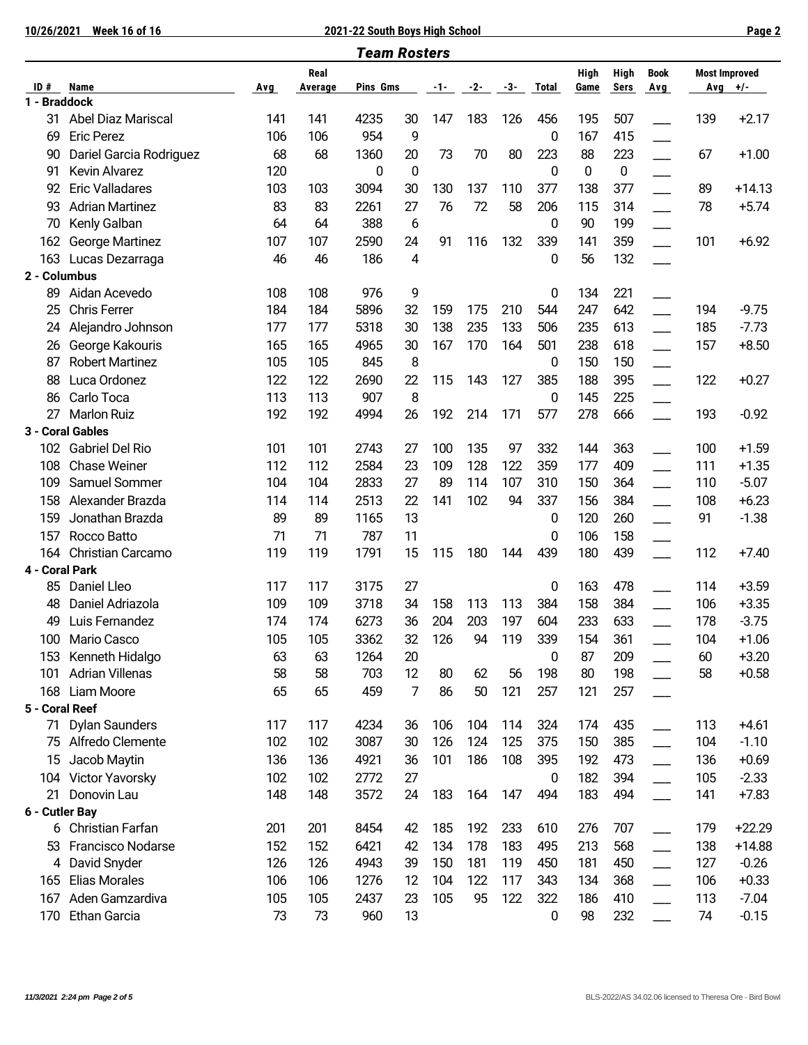**10/26/2021 Week 16 of 16 2021-22 South Boys High School Page 2**

|                |                         |            |                 | <b>Team Rosters</b> |                  |     |     |     |              |              |                     |                          |     |                                 |
|----------------|-------------------------|------------|-----------------|---------------------|------------------|-----|-----|-----|--------------|--------------|---------------------|--------------------------|-----|---------------------------------|
| ID $#$         | Name                    | <b>Avg</b> | Real<br>Average | Pins Gms            |                  | -1- | -2- | -3- | <b>Total</b> | High<br>Game | High<br><b>Sers</b> | <b>Book</b><br>Avg       |     | <b>Most Improved</b><br>Avg +/- |
| 1 - Braddock   |                         |            |                 |                     |                  |     |     |     |              |              |                     |                          |     |                                 |
| 31             | Abel Diaz Mariscal      | 141        | 141             | 4235                | 30               | 147 | 183 | 126 | 456          | 195          | 507                 |                          | 139 | $+2.17$                         |
| 69             | <b>Eric Perez</b>       | 106        | 106             | 954                 | 9                |     |     |     | 0            | 167          | 415                 |                          |     |                                 |
| 90             | Dariel Garcia Rodriguez | 68         | 68              | 1360                | 20               | 73  | 70  | 80  | 223          | 88           | 223                 |                          | 67  | $+1.00$                         |
| 91             | Kevin Alvarez           | 120        |                 | 0                   | $\boldsymbol{0}$ |     |     |     | 0            | 0            | 0                   |                          |     |                                 |
| 92             | <b>Eric Valladares</b>  | 103        | 103             | 3094                | 30               | 130 | 137 | 110 | 377          | 138          | 377                 |                          | 89  | $+14.13$                        |
| 93             | <b>Adrian Martinez</b>  | 83         | 83              | 2261                | 27               | 76  | 72  | 58  | 206          | 115          | 314                 |                          | 78  | $+5.74$                         |
| 70             | Kenly Galban            | 64         | 64              | 388                 | 6                |     |     |     | 0            | 90           | 199                 |                          |     |                                 |
| 162            | George Martinez         | 107        | 107             | 2590                | 24               | 91  | 116 | 132 | 339          | 141          | 359                 |                          | 101 | $+6.92$                         |
| 163            | Lucas Dezarraga         | 46         | 46              | 186                 | 4                |     |     |     | 0            | 56           | 132                 |                          |     |                                 |
| 2 - Columbus   |                         |            |                 |                     |                  |     |     |     |              |              |                     |                          |     |                                 |
| 89             | Aidan Acevedo           | 108        | 108             | 976                 | 9                |     |     |     | 0            | 134          | 221                 |                          |     |                                 |
| 25             | <b>Chris Ferrer</b>     | 184        | 184             | 5896                | 32               | 159 | 175 | 210 | 544          | 247          | 642                 |                          | 194 | $-9.75$                         |
| 24             | Alejandro Johnson       | 177        | 177             | 5318                | 30               | 138 | 235 | 133 | 506          | 235          | 613                 |                          | 185 | $-7.73$                         |
| 26             | George Kakouris         | 165        | 165             | 4965                | 30               | 167 | 170 | 164 | 501          | 238          | 618                 | $\overline{\phantom{a}}$ | 157 | $+8.50$                         |
| 87             | <b>Robert Martinez</b>  | 105        | 105             | 845                 | 8                |     |     |     | 0            | 150          | 150                 |                          |     |                                 |
| 88             | Luca Ordonez            | 122        | 122             | 2690                | 22               | 115 | 143 | 127 | 385          | 188          | 395                 |                          | 122 | $+0.27$                         |
| 86             | Carlo Toca              | 113        | 113             | 907                 | 8                |     |     |     | 0            | 145          | 225                 |                          |     |                                 |
| 27             | <b>Marlon Ruiz</b>      | 192        | 192             | 4994                | 26               | 192 | 214 | 171 | 577          | 278          | 666                 |                          | 193 | $-0.92$                         |
|                | 3 - Coral Gables        |            |                 |                     |                  |     |     |     |              |              |                     |                          |     |                                 |
| 102            | <b>Gabriel Del Rio</b>  | 101        | 101             | 2743                | 27               | 100 | 135 | 97  | 332          | 144          | 363                 |                          | 100 | $+1.59$                         |
| 108            | <b>Chase Weiner</b>     | 112        | 112             | 2584                | 23               | 109 | 128 | 122 | 359          | 177          | 409                 |                          | 111 | $+1.35$                         |
| 109            | Samuel Sommer           | 104        | 104             | 2833                | 27               | 89  | 114 | 107 | 310          | 150          | 364                 |                          | 110 | $-5.07$                         |
| 158            | Alexander Brazda        | 114        | 114             | 2513                | 22               | 141 | 102 | 94  | 337          | 156          | 384                 |                          | 108 | $+6.23$                         |
| 159            | Jonathan Brazda         | 89         | 89              | 1165                | 13               |     |     |     | 0            | 120          | 260                 | $\overline{\phantom{a}}$ | 91  | $-1.38$                         |
| 157            | Rocco Batto             | 71         | 71              | 787                 | 11               |     |     |     | 0            | 106          | 158                 |                          |     |                                 |
| 164            | Christian Carcamo       | 119        | 119             | 1791                | 15               | 115 | 180 | 144 | 439          | 180          | 439                 |                          | 112 | $+7.40$                         |
| 4 - Coral Park |                         |            |                 |                     |                  |     |     |     |              |              |                     |                          |     |                                 |
| 85             | Daniel Lleo             | 117        | 117             | 3175                | 27               |     |     |     | 0            | 163          | 478                 |                          | 114 | $+3.59$                         |
| 48             | Daniel Adriazola        | 109        | 109             | 3718                | 34               | 158 | 113 | 113 | 384          | 158          | 384                 |                          | 106 | $+3.35$                         |
| 49             | Luis Fernandez          | 174        | 174             | 6273                | 36               | 204 | 203 | 197 | 604          | 233          | 633                 |                          | 178 | $-3.75$                         |
| 100.           | Mario Casco             | 105        | 105             | 3362                | 32               | 126 | 94  | 119 | 339          | 154          | 361                 |                          | 104 | $+1.06$                         |
| 153            | Kenneth Hidalgo         | 63         | 63              | 1264                | 20               |     |     |     | 0            | 87           | 209                 |                          | 60  | $+3.20$                         |
| 101            | <b>Adrian Villenas</b>  | 58         | 58              | 703                 | 12               | 80  | 62  | 56  | 198          | 80           | 198                 |                          | 58  | $+0.58$                         |
| 168            | Liam Moore              | 65         | 65              | 459                 | 7                | 86  | 50  | 121 | 257          | 121          | 257                 |                          |     |                                 |
| 5 - Coral Reef |                         |            |                 |                     |                  |     |     |     |              |              |                     |                          |     |                                 |
| 71             | <b>Dylan Saunders</b>   | 117        | 117             | 4234                | 36               | 106 | 104 | 114 | 324          | 174          | 435                 |                          | 113 | $+4.61$                         |
| 75             | Alfredo Clemente        | 102        | 102             | 3087                | 30               | 126 | 124 | 125 | 375          | 150          | 385                 |                          | 104 | $-1.10$                         |
| 15             | Jacob Maytin            | 136        | 136             | 4921                | 36               | 101 | 186 | 108 | 395          | 192          | 473                 |                          | 136 | $+0.69$                         |
| 104            | Victor Yavorsky         | 102        | 102             | 2772                | 27               |     |     |     | 0            | 182          | 394                 |                          | 105 | $-2.33$                         |
| 21             | Donovin Lau             | 148        | 148             | 3572                | 24               | 183 | 164 | 147 | 494          | 183          | 494                 |                          | 141 | $+7.83$                         |
| 6 - Cutler Bay |                         |            |                 |                     |                  |     |     |     |              |              |                     |                          |     |                                 |
| 6.             | Christian Farfan        | 201        | 201             | 8454                | 42               | 185 | 192 | 233 | 610          | 276          | 707                 |                          | 179 | $+22.29$                        |
| 53             | Francisco Nodarse       | 152        | 152             | 6421                | 42               | 134 | 178 | 183 | 495          | 213          | 568                 |                          | 138 | $+14.88$                        |
| 4              | David Snyder            | 126        | 126             | 4943                | 39               | 150 | 181 | 119 | 450          | 181          | 450                 |                          | 127 | $-0.26$                         |
| 165            | <b>Elias Morales</b>    | 106        | 106             | 1276                | 12               | 104 | 122 | 117 | 343          | 134          | 368                 |                          | 106 | $+0.33$                         |
| 167            | Aden Gamzardiva         | 105        | 105             | 2437                | 23               | 105 | 95  | 122 | 322          | 186          | 410                 |                          | 113 | $-7.04$                         |
| 170            | Ethan Garcia            | 73         | 73              | 960                 | 13               |     |     |     | 0            | 98           | 232                 |                          | 74  | $-0.15$                         |
|                |                         |            |                 |                     |                  |     |     |     |              |              |                     |                          |     |                                 |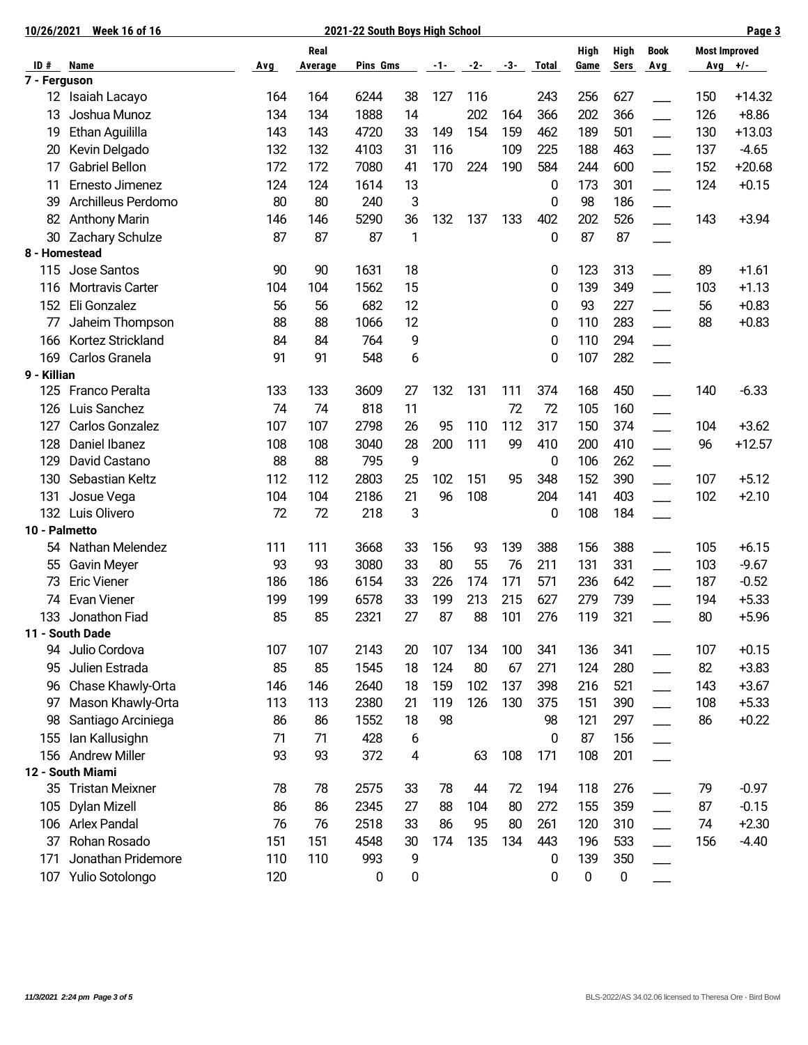| 10/26/2021      | <b>Week 16 of 16</b>  | 2021-22 South Boys High School |         |          |              |     |       |       |              |           |           |                          | Page 3               |          |
|-----------------|-----------------------|--------------------------------|---------|----------|--------------|-----|-------|-------|--------------|-----------|-----------|--------------------------|----------------------|----------|
|                 |                       |                                | Real    |          |              |     |       |       |              | High      | High      | <b>Book</b>              | <b>Most Improved</b> |          |
| ID#             | Name                  | <b>Avg</b>                     | Average | Pins Gms |              | -1- | $-2-$ | $-3-$ | <b>Total</b> | Game      | Sers      | <b>Avg</b>               | Avg $+/-$            |          |
| 7 - Ferguson    |                       |                                |         |          |              |     |       |       |              |           |           |                          |                      |          |
| 12 <sup>°</sup> | Isaiah Lacayo         | 164                            | 164     | 6244     | 38           | 127 | 116   |       | 243          | 256       | 627       |                          | 150                  | $+14.32$ |
| 13              | Joshua Munoz          | 134                            | 134     | 1888     | 14           |     | 202   | 164   | 366          | 202       | 366       | $\overline{\phantom{a}}$ | 126                  | $+8.86$  |
| 19              | Ethan Aguililla       | 143                            | 143     | 4720     | 33           | 149 | 154   | 159   | 462          | 189       | 501       |                          | 130                  | $+13.03$ |
| 20              | Kevin Delgado         | 132                            | 132     | 4103     | 31           | 116 |       | 109   | 225          | 188       | 463       |                          | 137                  | $-4.65$  |
| 17              | <b>Gabriel Bellon</b> | 172                            | 172     | 7080     | 41           | 170 | 224   | 190   | 584          | 244       | 600       |                          | 152                  | $+20.68$ |
| 11              | Ernesto Jimenez       | 124                            | 124     | 1614     | 13           |     |       |       | 0            | 173       | 301       | $\overline{\phantom{a}}$ | 124                  | $+0.15$  |
| 39              | Archilleus Perdomo    | 80                             | 80      | 240      | 3            |     |       |       | 0            | 98        | 186       |                          |                      |          |
| 82              | <b>Anthony Marin</b>  | 146                            | 146     | 5290     | 36           | 132 | 137   | 133   | 402          | 202       | 526       |                          | 143                  | $+3.94$  |
| 30              | Zachary Schulze       | 87                             | 87      | 87       | $\mathbf{1}$ |     |       |       | 0            | 87        | 87        |                          |                      |          |
| 8 - Homestead   |                       |                                |         |          |              |     |       |       |              |           |           |                          |                      |          |
| 115             | Jose Santos           | 90                             | 90      | 1631     | 18           |     |       |       | 0            | 123       | 313       |                          | 89                   | $+1.61$  |
| 116             | Mortravis Carter      | 104                            | 104     | 1562     | 15           |     |       |       | 0            | 139       | 349       |                          | 103                  | $+1.13$  |
| 152             | Eli Gonzalez          | 56                             | 56      | 682      | 12           |     |       |       | 0            | 93        | 227       |                          | 56                   | $+0.83$  |
| 77              | Jaheim Thompson       | 88                             | 88      | 1066     | 12           |     |       |       | 0            | 110       | 283       |                          | 88                   | $+0.83$  |
| 166             | Kortez Strickland     | 84                             | 84      | 764      | 9            |     |       |       | 0            | 110       | 294       |                          |                      |          |
| 169             | Carlos Granela        | 91                             | 91      | 548      | 6            |     |       |       | 0            | 107       | 282       |                          |                      |          |
| 9 - Killian     |                       |                                |         |          |              |     |       |       |              |           |           |                          |                      |          |
| 125             | Franco Peralta        | 133                            | 133     | 3609     | 27           | 132 | 131   | 111   | 374          | 168       | 450       |                          | 140                  | $-6.33$  |
| 126             | Luis Sanchez          | 74                             | 74      | 818      | 11           |     |       | 72    | 72           | 105       | 160       |                          |                      |          |
| 127             | Carlos Gonzalez       | 107                            | 107     | 2798     | 26           | 95  | 110   | 112   | 317          | 150       | 374       |                          | 104                  | $+3.62$  |
| 128             | Daniel Ibanez         | 108                            | 108     | 3040     | 28           | 200 | 111   | 99    | 410          | 200       | 410       |                          | 96                   | $+12.57$ |
| 129             | David Castano         | 88                             | 88      | 795      | 9            |     |       |       | 0            | 106       | 262       |                          |                      |          |
| 130             | Sebastian Keltz       | 112                            | 112     | 2803     | 25           | 102 | 151   | 95    | 348          | 152       | 390       |                          | 107                  | $+5.12$  |
| 131             | Josue Vega            | 104                            | 104     | 2186     | 21           | 96  | 108   |       | 204          | 141       | 403       |                          | 102                  | $+2.10$  |
| 132             | Luis Olivero          | 72                             | 72      | 218      | 3            |     |       |       | 0            | 108       | 184       |                          |                      |          |
| 10 - Palmetto   |                       |                                |         |          |              |     |       |       |              |           |           |                          |                      |          |
| 54              | Nathan Melendez       | 111                            | 111     | 3668     | 33           | 156 | 93    | 139   | 388          | 156       | 388       |                          | 105                  | $+6.15$  |
| 55              | Gavin Meyer           | 93                             | 93      | 3080     | 33           | 80  | 55    | 76    | 211          | 131       | 331       |                          | 103                  | $-9.67$  |
| 73              | <b>Eric Viener</b>    | 186                            | 186     | 6154     | 33           | 226 | 174   | 171   | 571          | 236       | 642       |                          | 187                  | $-0.52$  |
| 74              | <b>Evan Viener</b>    | 199                            | 199     | 6578     | 33           | 199 | 213   | 215   | 627          | 279       | 739       |                          | 194                  | $+5.33$  |
| 133             | Jonathon Fiad         | 85                             | 85      | 2321     | 27           | 87  | 88    | 101   | 276          | 119       | 321       |                          | 80                   | $+5.96$  |
|                 | 11 - South Dade       |                                |         |          |              |     |       |       |              |           |           |                          |                      |          |
| 94              | Julio Cordova         | 107                            | 107     | 2143     | 20           | 107 | 134   | 100   | 341          | 136       | 341       |                          | 107                  | $+0.15$  |
| 95              | Julien Estrada        | 85                             | 85      | 1545     | 18           | 124 | 80    | 67    | 271          | 124       | 280       |                          | 82                   | $+3.83$  |
| 96              | Chase Khawly-Orta     | 146                            | 146     | 2640     | 18           | 159 | 102   | 137   | 398          | 216       | 521       |                          | 143                  | $+3.67$  |
| 97              | Mason Khawly-Orta     | 113                            | 113     | 2380     | 21           | 119 | 126   | 130   | 375          | 151       | 390       |                          | 108                  | $+5.33$  |
| 98              | Santiago Arciniega    | 86                             | 86      | 1552     | 18           | 98  |       |       | 98           | 121       | 297       |                          | 86                   | $+0.22$  |
| 155             | lan Kallusighn        | 71                             | 71      | 428      | 6            |     |       |       | 0            | 87        | 156       |                          |                      |          |
| 156             | <b>Andrew Miller</b>  | 93                             | 93      | 372      | 4            |     | 63    | 108   | 171          | 108       | 201       |                          |                      |          |
|                 | 12 - South Miami      |                                |         |          |              |     |       |       |              |           |           |                          |                      |          |
| 35              | Tristan Meixner       | 78                             | 78      | 2575     | 33           | 78  | 44    | 72    | 194          | 118       | 276       |                          | 79                   | $-0.97$  |
| 105             | Dylan Mizell          | 86                             | 86      | 2345     | 27           | 88  | 104   | 80    | 272          | 155       | 359       |                          | 87                   | $-0.15$  |
| 106             | <b>Arlex Pandal</b>   | 76                             | 76      | 2518     | 33           | 86  | 95    | 80    | 261          | 120       | 310       |                          | 74                   | $+2.30$  |
| 37              | Rohan Rosado          | 151                            | 151     | 4548     | 30           | 174 | 135   | 134   | 443          | 196       | 533       |                          | 156                  | $-4.40$  |
| 171             | Jonathan Pridemore    | 110                            | 110     | 993      | 9            |     |       |       | 0            | 139       | 350       |                          |                      |          |
|                 | 107 Yulio Sotolongo   | 120                            |         | 0        | 0            |     |       |       | 0            | $\pmb{0}$ | $\pmb{0}$ |                          |                      |          |
|                 |                       |                                |         |          |              |     |       |       |              |           |           |                          |                      |          |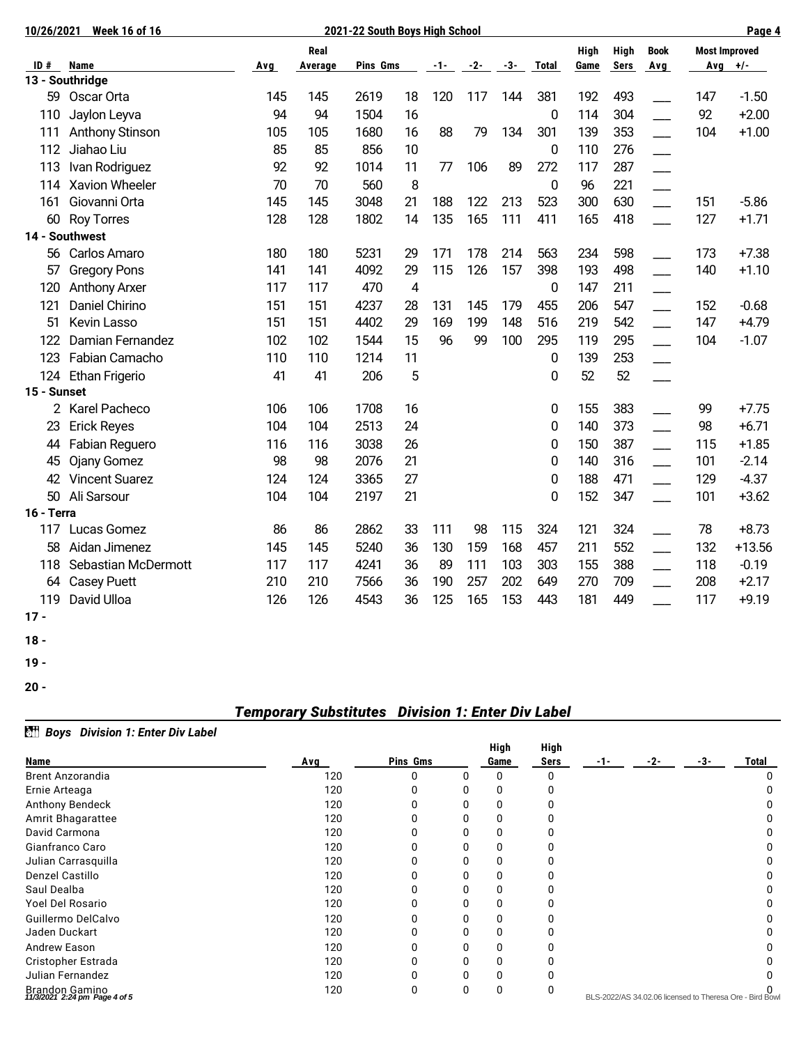| <b>Week 16 of 16</b><br>10/26/2021 |                        |     |         | 2021-22 South Boys High School |    |       |       |       |                |             |             |                          |     | Page 4               |
|------------------------------------|------------------------|-----|---------|--------------------------------|----|-------|-------|-------|----------------|-------------|-------------|--------------------------|-----|----------------------|
|                                    |                        |     | Real    |                                |    |       |       |       |                | <b>High</b> | <b>High</b> | <b>Book</b>              |     | <b>Most Improved</b> |
| ID#                                | Name                   | Avg | Average | Pins Gms                       |    | $-1-$ | $-2-$ | $-3-$ | <b>Total</b>   | Game        | <b>Sers</b> | Avg                      |     | Avg $+/-$            |
|                                    | 13 - Southridge        |     |         |                                |    |       |       |       |                |             |             |                          |     |                      |
| 59                                 | Oscar Orta             | 145 | 145     | 2619                           | 18 | 120   | 117   | 144   | 381            | 192         | 493         |                          | 147 | $-1.50$              |
| 110                                | Jaylon Leyva           | 94  | 94      | 1504                           | 16 |       |       |       | 0              | 114         | 304         |                          | 92  | $+2.00$              |
| 111                                | <b>Anthony Stinson</b> | 105 | 105     | 1680                           | 16 | 88    | 79    | 134   | 301            | 139         | 353         | $\overline{\phantom{a}}$ | 104 | $+1.00$              |
| 112                                | Jiahao Liu             | 85  | 85      | 856                            | 10 |       |       |       | $\mathbf 0$    | 110         | 276         | <u>est</u>               |     |                      |
| 113                                | Ivan Rodriguez         | 92  | 92      | 1014                           | 11 | 77    | 106   | 89    | 272            | 117         | 287         |                          |     |                      |
| 114                                | Xavion Wheeler         | 70  | 70      | 560                            | 8  |       |       |       | 0              | 96          | 221         |                          |     |                      |
| 161                                | Giovanni Orta          | 145 | 145     | 3048                           | 21 | 188   | 122   | 213   | 523            | 300         | 630         |                          | 151 | $-5.86$              |
| 60                                 | <b>Roy Torres</b>      | 128 | 128     | 1802                           | 14 | 135   | 165   | 111   | 411            | 165         | 418         |                          | 127 | $+1.71$              |
|                                    | 14 - Southwest         |     |         |                                |    |       |       |       |                |             |             |                          |     |                      |
| 56                                 | Carlos Amaro           | 180 | 180     | 5231                           | 29 | 171   | 178   | 214   | 563            | 234         | 598         |                          | 173 | $+7.38$              |
| 57                                 | <b>Gregory Pons</b>    | 141 | 141     | 4092                           | 29 | 115   | 126   | 157   | 398            | 193         | 498         | $\frac{1}{1}$            | 140 | $+1.10$              |
| 120                                | <b>Anthony Arxer</b>   | 117 | 117     | 470                            | 4  |       |       |       | 0              | 147         | 211         |                          |     |                      |
| 121                                | Daniel Chirino         | 151 | 151     | 4237                           | 28 | 131   | 145   | 179   | 455            | 206         | 547         |                          | 152 | $-0.68$              |
| 51                                 | Kevin Lasso            | 151 | 151     | 4402                           | 29 | 169   | 199   | 148   | 516            | 219         | 542         |                          | 147 | $+4.79$              |
| 122                                | Damian Fernandez       | 102 | 102     | 1544                           | 15 | 96    | 99    | 100   | 295            | 119         | 295         |                          | 104 | $-1.07$              |
| 123                                | Fabian Camacho         | 110 | 110     | 1214                           | 11 |       |       |       | 0              | 139         | 253         | $\overline{\phantom{a}}$ |     |                      |
| 124                                | <b>Ethan Frigerio</b>  | 41  | 41      | 206                            | 5  |       |       |       | 0              | 52          | 52          |                          |     |                      |
| 15 - Sunset                        |                        |     |         |                                |    |       |       |       |                |             |             |                          |     |                      |
|                                    | 2 Karel Pacheco        | 106 | 106     | 1708                           | 16 |       |       |       | 0              | 155         | 383         |                          | 99  | $+7.75$              |
| 23                                 | <b>Erick Reyes</b>     | 104 | 104     | 2513                           | 24 |       |       |       | 0              | 140         | 373         |                          | 98  | $+6.71$              |
| 44                                 | Fabian Reguero         | 116 | 116     | 3038                           | 26 |       |       |       | 0              | 150         | 387         | $\overline{a}$           | 115 | $+1.85$              |
| 45                                 | Ojany Gomez            | 98  | 98      | 2076                           | 21 |       |       |       | 0              | 140         | 316         |                          | 101 | $-2.14$              |
|                                    | 42 Vincent Suarez      | 124 | 124     | 3365                           | 27 |       |       |       | 0              | 188         | 471         |                          | 129 | $-4.37$              |
| 50                                 | Ali Sarsour            | 104 | 104     | 2197                           | 21 |       |       |       | $\overline{0}$ | 152         | 347         |                          | 101 | $+3.62$              |
| 16 - Terra                         |                        |     |         |                                |    |       |       |       |                |             |             |                          |     |                      |
| 117                                | Lucas Gomez            | 86  | 86      | 2862                           | 33 | 111   | 98    | 115   | 324            | 121         | 324         |                          | 78  | $+8.73$              |
| 58                                 | Aidan Jimenez          | 145 | 145     | 5240                           | 36 | 130   | 159   | 168   | 457            | 211         | 552         |                          | 132 | $+13.56$             |
| 118                                | Sebastian McDermott    | 117 | 117     | 4241                           | 36 | 89    | 111   | 103   | 303            | 155         | 388         |                          | 118 | $-0.19$              |
| 64                                 | <b>Casey Puett</b>     | 210 | 210     | 7566                           | 36 | 190   | 257   | 202   | 649            | 270         | 709         |                          | 208 | $+2.17$              |
| 119                                | David Ulloa            | 126 | 126     | 4543                           | 36 | 125   | 165   | 153   | 443            | 181         | 449         |                          | 117 | $+9.19$              |
| $17 -$                             |                        |     |         |                                |    |       |       |       |                |             |             |                          |     |                      |
| $18 -$                             |                        |     |         |                                |    |       |       |       |                |             |             |                          |     |                      |

- **19**
- **20**

## *Temporary Substitutes Division 1: Enter Div Label*

## *Boys Division 1: Enter Div Label*

|                                                 |     |          |   | High | High |     |                                                         |     |              |
|-------------------------------------------------|-----|----------|---|------|------|-----|---------------------------------------------------------|-----|--------------|
| Name                                            | Avg | Pins Gms |   | Game | Sers | -1- | $-2-$                                                   | -3- | <b>Total</b> |
| <b>Brent Anzorandia</b>                         | 120 |          |   |      | 0    |     |                                                         |     |              |
| Ernie Arteaga                                   | 120 |          |   |      |      |     |                                                         |     |              |
| Anthony Bendeck                                 | 120 |          | U |      |      |     |                                                         |     |              |
| Amrit Bhagarattee                               | 120 |          |   |      |      |     |                                                         |     |              |
| David Carmona                                   | 120 |          | 0 |      |      |     |                                                         |     |              |
| Gianfranco Caro                                 | 120 |          |   |      |      |     |                                                         |     |              |
| Julian Carrasquilla                             | 120 |          |   |      |      |     |                                                         |     |              |
| Denzel Castillo                                 | 120 |          |   |      |      |     |                                                         |     |              |
| Saul Dealba                                     | 120 |          |   |      |      |     |                                                         |     |              |
| Yoel Del Rosario                                | 120 |          |   |      |      |     |                                                         |     |              |
| Guillermo DelCalvo                              | 120 |          |   |      |      |     |                                                         |     |              |
| Jaden Duckart                                   | 120 |          |   |      |      |     |                                                         |     |              |
| Andrew Eason                                    | 120 |          |   |      |      |     |                                                         |     |              |
| Cristopher Estrada                              | 120 |          |   |      |      |     |                                                         |     |              |
| Julian Fernandez                                | 120 |          |   |      |      |     |                                                         |     |              |
| Brandon Gamino<br>11/3/2021 2:24 pm Page 4 of 5 | 120 | 0        | O |      |      |     | BLS-2022/AS 34.02.06 licensed to Theresa Ore - Bird Bow |     |              |